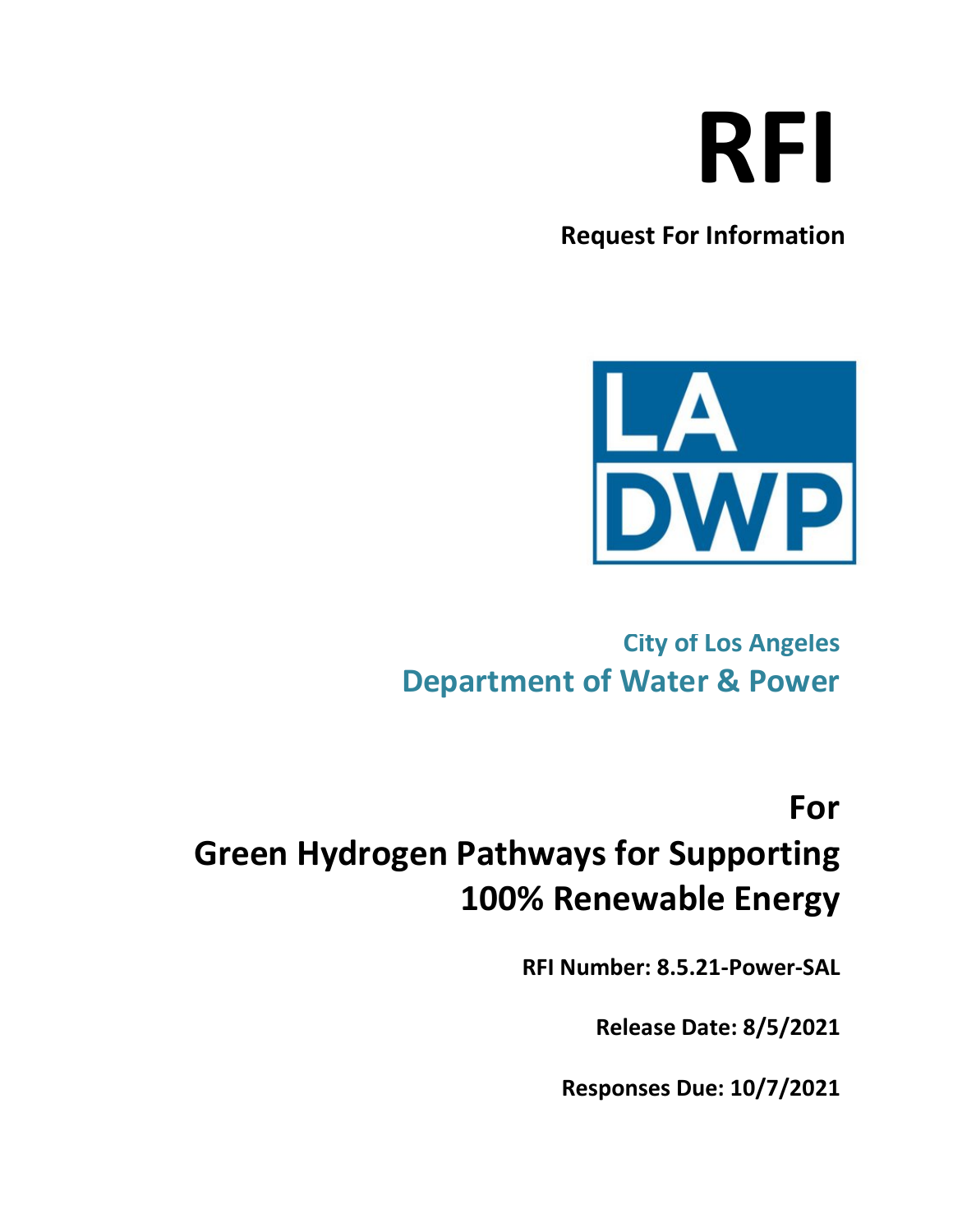# **RFI**

**Request For Information** 



### **City of Los Angeles Department of Water & Power**

**For** 

## **Green Hydrogen Pathways for Supporting 100% Renewable Energy**

**RFI Number: 8.5.21-Power-SAL**

**Release Date: 8/5/2021**

**Responses Due: 10/7/2021**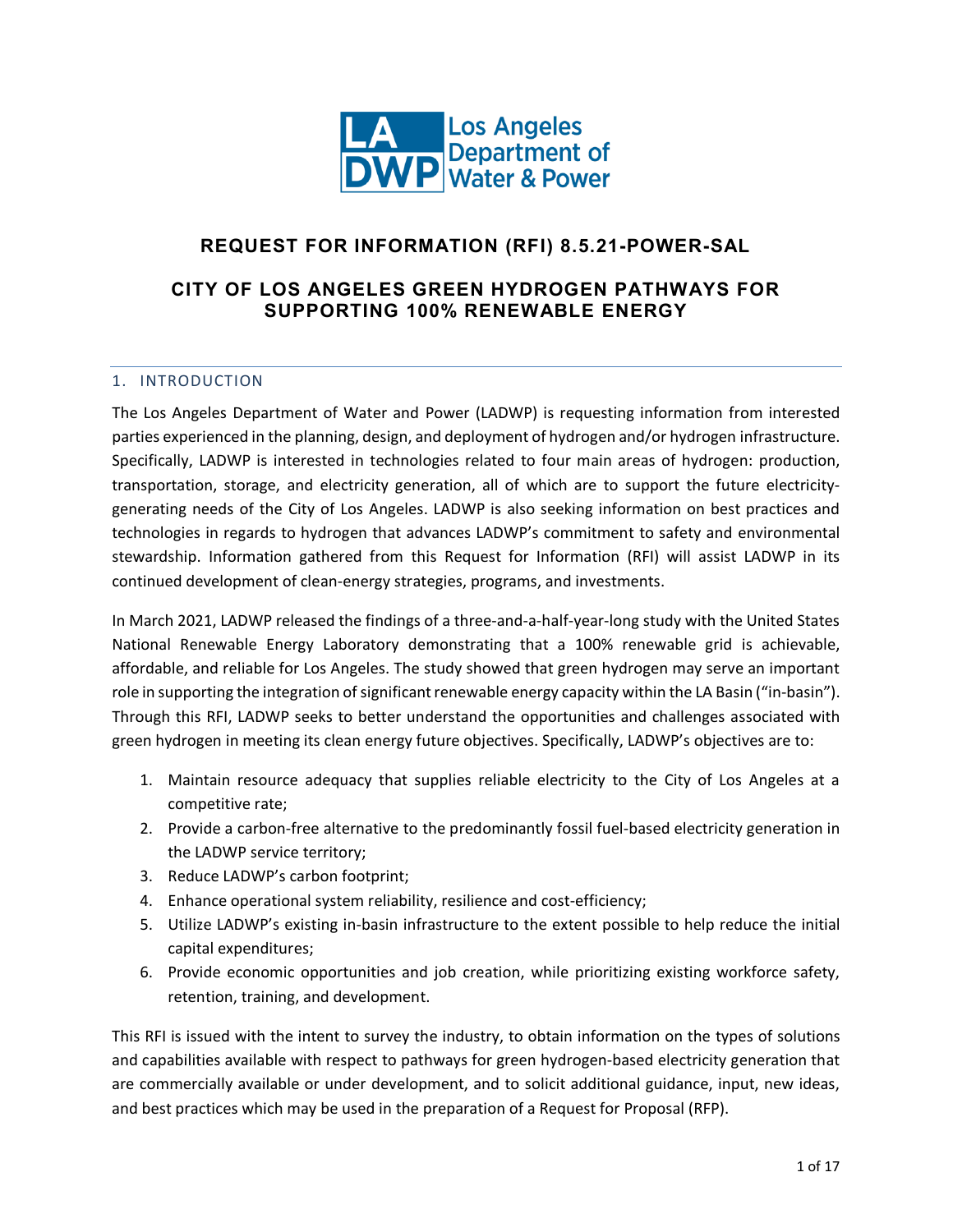

#### **REQUEST FOR INFORMATION (RFI) 8.5.21-POWER-SAL**

#### **CITY OF LOS ANGELES GREEN HYDROGEN PATHWAYS FOR SUPPORTING 100% RENEWABLE ENERGY**

#### 1. INTRODUCTION

The Los Angeles Department of Water and Power (LADWP) is requesting information from interested parties experienced in the planning, design, and deployment of hydrogen and/or hydrogen infrastructure. Specifically, LADWP is interested in technologies related to four main areas of hydrogen: production, transportation, storage, and electricity generation, all of which are to support the future electricitygenerating needs of the City of Los Angeles. LADWP is also seeking information on best practices and technologies in regards to hydrogen that advances LADWP's commitment to safety and environmental stewardship. Information gathered from this Request for Information (RFI) will assist LADWP in its continued development of clean-energy strategies, programs, and investments.

In March 2021, LADWP released the findings of a three-and-a-half-year-long study with the United States National Renewable Energy Laboratory demonstrating that a 100% renewable grid is achievable, affordable, and reliable for Los Angeles. The study showed that green hydrogen may serve an important role in supporting the integration of significant renewable energy capacity within the LA Basin ("in-basin"). Through this RFI, LADWP seeks to better understand the opportunities and challenges associated with green hydrogen in meeting its clean energy future objectives. Specifically, LADWP's objectives are to:

- 1. Maintain resource adequacy that supplies reliable electricity to the City of Los Angeles at a competitive rate;
- 2. Provide a carbon-free alternative to the predominantly fossil fuel-based electricity generation in the LADWP service territory;
- 3. Reduce LADWP's carbon footprint;
- 4. Enhance operational system reliability, resilience and cost-efficiency;
- 5. Utilize LADWP's existing in-basin infrastructure to the extent possible to help reduce the initial capital expenditures;
- 6. Provide economic opportunities and job creation, while prioritizing existing workforce safety, retention, training, and development.

This RFI is issued with the intent to survey the industry, to obtain information on the types of solutions and capabilities available with respect to pathways for green hydrogen-based electricity generation that are commercially available or under development, and to solicit additional guidance, input, new ideas, and best practices which may be used in the preparation of a Request for Proposal (RFP).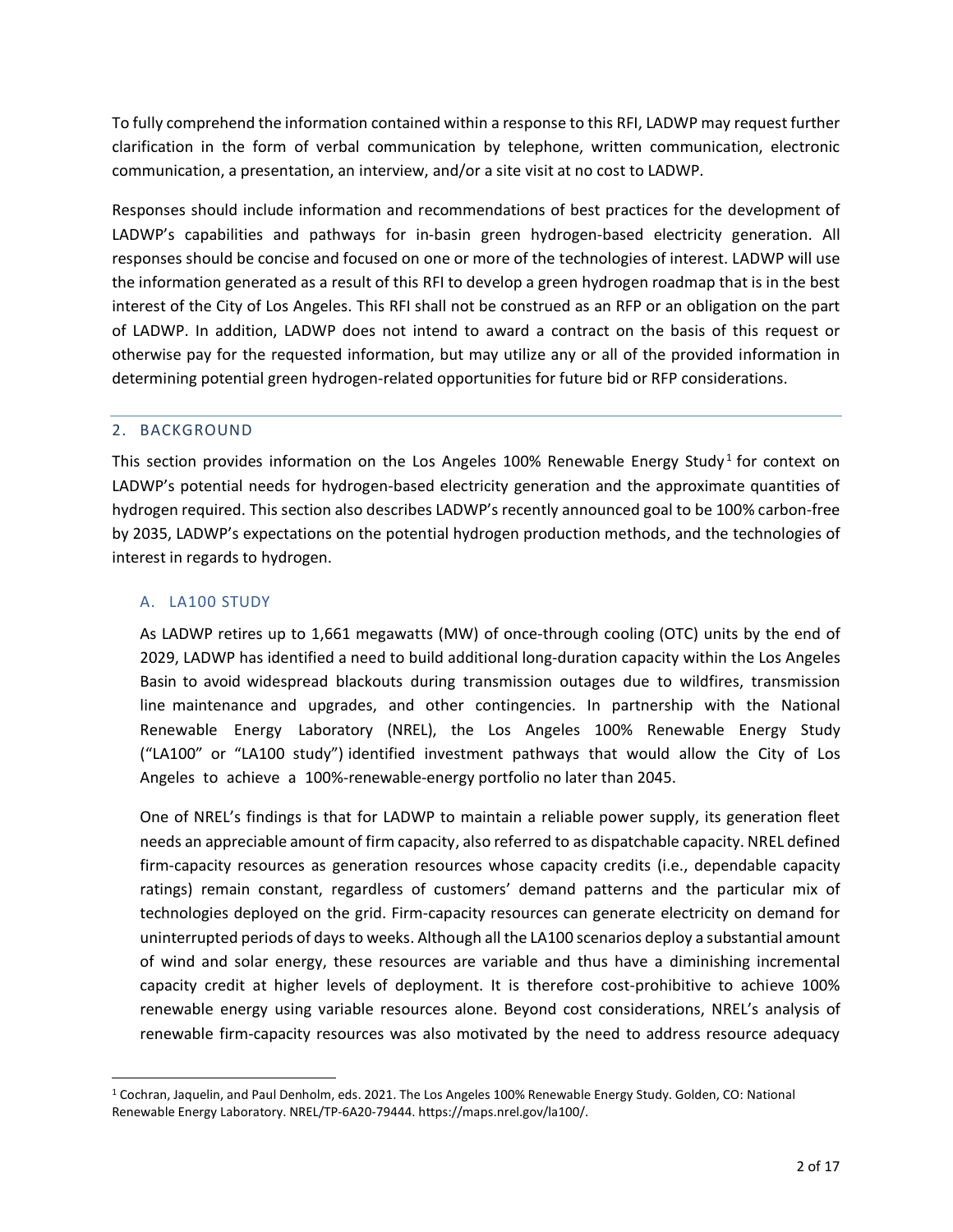To fully comprehend the information contained within a response to this RFI, LADWP may request further clarification in the form of verbal communication by telephone, written communication, electronic communication, a presentation, an interview, and/or a site visit at no cost to LADWP.

Responses should include information and recommendations of best practices for the development of LADWP's capabilities and pathways for in-basin green hydrogen-based electricity generation. All responses should be concise and focused on one or more of the technologies of interest. LADWP will use the information generated as a result of this RFI to develop a green hydrogen roadmap that is in the best interest of the City of Los Angeles. This RFI shall not be construed as an RFP or an obligation on the part of LADWP. In addition, LADWP does not intend to award a contract on the basis of this request or otherwise pay for the requested information, but may utilize any or all of the provided information in determining potential green hydrogen-related opportunities for future bid or RFP considerations.

#### 2. BACKGROUND

This section provides information on the Los Angeles [1](#page-2-0)00% Renewable Energy Study<sup>1</sup> for context on LADWP's potential needs for hydrogen-based electricity generation and the approximate quantities of hydrogen required. This section also describes LADWP's recently announced goal to be 100% carbon-free by 2035, LADWP's expectations on the potential hydrogen production methods, and the technologies of interest in regards to hydrogen.

#### A. LA100 STUDY

As LADWP retires up to 1,661 megawatts (MW) of once-through cooling (OTC) units by the end of 2029, LADWP has identified a need to build additional long-duration capacity within the Los Angeles Basin to avoid widespread blackouts during transmission outages due to wildfires, transmission line maintenance and upgrades, and other contingencies. In partnership with the National Renewable Energy Laboratory (NREL), the Los Angeles 100% Renewable Energy Study ("LA100" or "LA100 study") identified investment pathways that would allow the City of Los Angeles to achieve a 100%-renewable-energy portfolio no later than 2045.

One of NREL's findings is that for LADWP to maintain a reliable power supply, its generation fleet needs an appreciable amount of firm capacity, also referred to as dispatchable capacity. NREL defined firm-capacity resources as generation resources whose capacity credits (i.e., dependable capacity ratings) remain constant, regardless of customers' demand patterns and the particular mix of technologies deployed on the grid. Firm-capacity resources can generate electricity on demand for uninterrupted periods of days to weeks. Although all the LA100 scenarios deploy a substantial amount of wind and solar energy, these resources are variable and thus have a diminishing incremental capacity credit at higher levels of deployment. It is therefore cost-prohibitive to achieve 100% renewable energy using variable resources alone. Beyond cost considerations, NREL's analysis of renewable firm-capacity resources was also motivated by the need to address resource adequacy

<span id="page-2-0"></span><sup>1</sup> Cochran, Jaquelin, and Paul Denholm, eds. 2021. The Los Angeles 100% Renewable Energy Study. Golden, CO: National Renewable Energy Laboratory. NREL/TP-6A20-79444. https://maps.nrel.gov/la100/.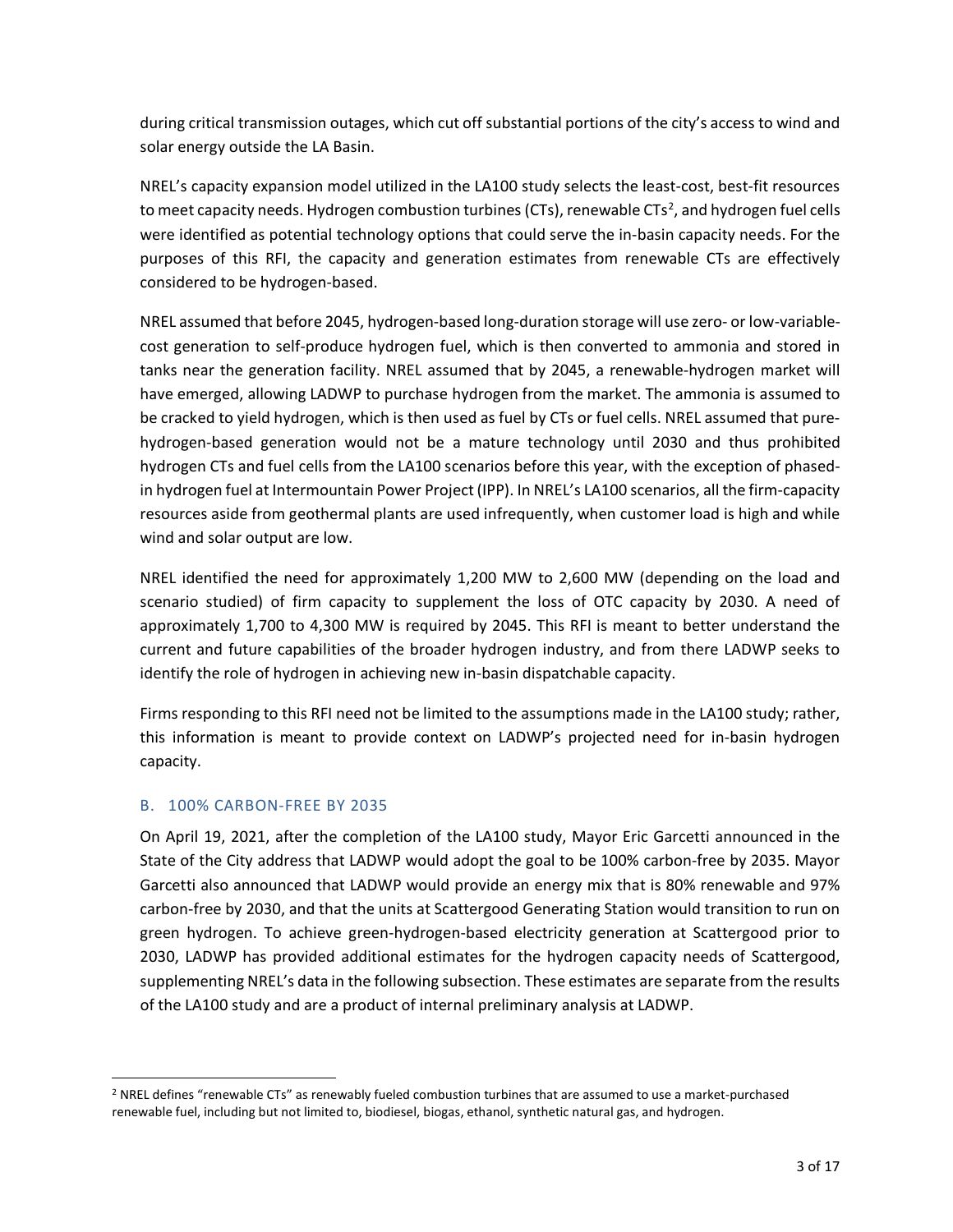during critical transmission outages, which cut off substantial portions of the city's access to wind and solar energy outside the LA Basin.

NREL's capacity expansion model utilized in the LA100 study selects the least-cost, best-fit resources to meet capacity needs. Hydrogen combustion turbines (CTs), renewable CTs<sup>[2](#page-3-0)</sup>, and hydrogen fuel cells were identified as potential technology options that could serve the in-basin capacity needs. For the purposes of this RFI, the capacity and generation estimates from renewable CTs are effectively considered to be hydrogen-based.

NREL assumed that before 2045, hydrogen-based long-duration storage will use zero- or low-variablecost generation to self-produce hydrogen fuel, which is then converted to ammonia and stored in tanks near the generation facility. NREL assumed that by 2045, a renewable-hydrogen market will have emerged, allowing LADWP to purchase hydrogen from the market. The ammonia is assumed to be cracked to yield hydrogen, which is then used as fuel by CTs or fuel cells. NREL assumed that purehydrogen-based generation would not be a mature technology until 2030 and thus prohibited hydrogen CTs and fuel cells from the LA100 scenarios before this year, with the exception of phasedin hydrogen fuel at Intermountain Power Project (IPP). In NREL's LA100 scenarios, all the firm-capacity resources aside from geothermal plants are used infrequently, when customer load is high and while wind and solar output are low.

NREL identified the need for approximately 1,200 MW to 2,600 MW (depending on the load and scenario studied) of firm capacity to supplement the loss of OTC capacity by 2030. A need of approximately 1,700 to 4,300 MW is required by 2045. This RFI is meant to better understand the current and future capabilities of the broader hydrogen industry, and from there LADWP seeks to identify the role of hydrogen in achieving new in-basin dispatchable capacity.

Firms responding to this RFI need not be limited to the assumptions made in the LA100 study; rather, this information is meant to provide context on LADWP's projected need for in-basin hydrogen capacity.

#### B. 100% CARBON-FREE BY 2035

On April 19, 2021, after the completion of the LA100 study, Mayor Eric Garcetti announced in the State of the City address that LADWP would adopt the goal to be 100% carbon-free by 2035. Mayor Garcetti also announced that LADWP would provide an energy mix that is 80% renewable and 97% carbon-free by 2030, and that the units at Scattergood Generating Station would transition to run on green hydrogen. To achieve green-hydrogen-based electricity generation at Scattergood prior to 2030, LADWP has provided additional estimates for the hydrogen capacity needs of Scattergood, supplementing NREL's data in the following subsection. These estimates are separate from the results of the LA100 study and are a product of internal preliminary analysis at LADWP.

<span id="page-3-0"></span><sup>&</sup>lt;sup>2</sup> NREL defines "renewable CTs" as renewably fueled combustion turbines that are assumed to use a market-purchased renewable fuel, including but not limited to, biodiesel, biogas, ethanol, synthetic natural gas, and hydrogen.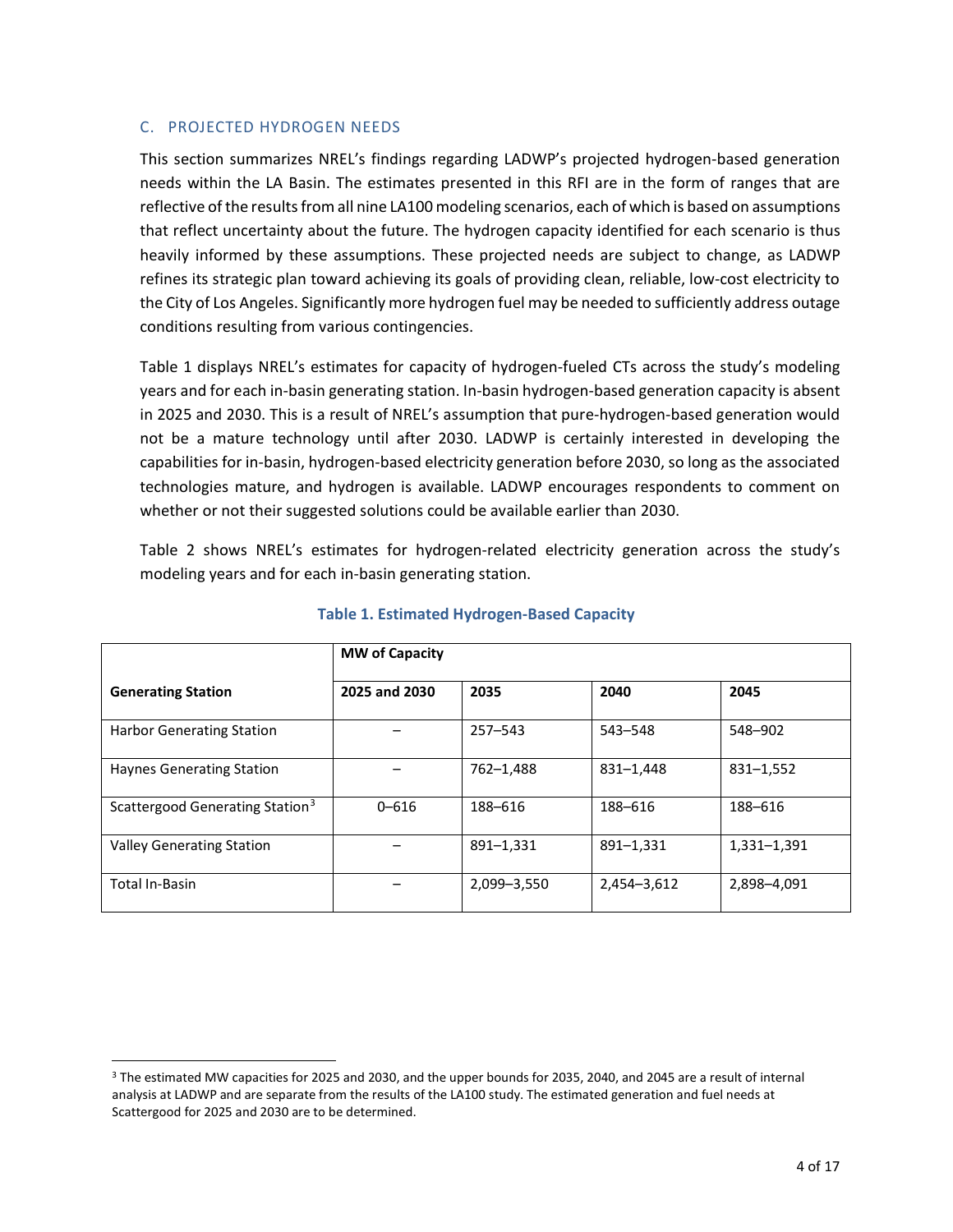#### C. PROJECTED HYDROGEN NEEDS

This section summarizes NREL's findings regarding LADWP's projected hydrogen-based generation needs within the LA Basin. The estimates presented in this RFI are in the form of ranges that are reflective of the results from all nine LA100 modeling scenarios, each of which is based on assumptions that reflect uncertainty about the future. The hydrogen capacity identified for each scenario is thus heavily informed by these assumptions. These projected needs are subject to change, as LADWP refines its strategic plan toward achieving its goals of providing clean, reliable, low-cost electricity to the City of Los Angeles. Significantly more hydrogen fuel may be needed to sufficiently address outage conditions resulting from various contingencies.

Table 1 displays NREL's estimates for capacity of hydrogen-fueled CTs across the study's modeling years and for each in-basin generating station. In-basin hydrogen-based generation capacity is absent in 2025 and 2030. This is a result of NREL's assumption that pure-hydrogen-based generation would not be a mature technology until after 2030. LADWP is certainly interested in developing the capabilities for in-basin, hydrogen-based electricity generation before 2030, so long as the associated technologies mature, and hydrogen is available. LADWP encourages respondents to comment on whether or not their suggested solutions could be available earlier than 2030.

Table 2 shows NREL's estimates for hydrogen-related electricity generation across the study's modeling years and for each in-basin generating station.

|                                             | <b>MW of Capacity</b> |             |             |             |
|---------------------------------------------|-----------------------|-------------|-------------|-------------|
| <b>Generating Station</b>                   | 2025 and 2030         | 2035        | 2040        | 2045        |
| <b>Harbor Generating Station</b>            |                       | $257 - 543$ | 543-548     | 548-902     |
| <b>Haynes Generating Station</b>            |                       | 762-1.488   | 831-1.448   | 831-1,552   |
| Scattergood Generating Station <sup>3</sup> | $0 - 616$             | 188-616     | 188-616     | 188-616     |
| <b>Valley Generating Station</b>            |                       | 891-1,331   | 891-1,331   | 1,331-1,391 |
| <b>Total In-Basin</b>                       |                       | 2,099-3,550 | 2,454-3,612 | 2,898-4,091 |

#### **Table 1. Estimated Hydrogen-Based Capacity**

<span id="page-4-0"></span><sup>&</sup>lt;sup>3</sup> The estimated MW capacities for 2025 and 2030, and the upper bounds for 2035, 2040, and 2045 are a result of internal analysis at LADWP and are separate from the results of the LA100 study. The estimated generation and fuel needs at Scattergood for 2025 and 2030 are to be determined.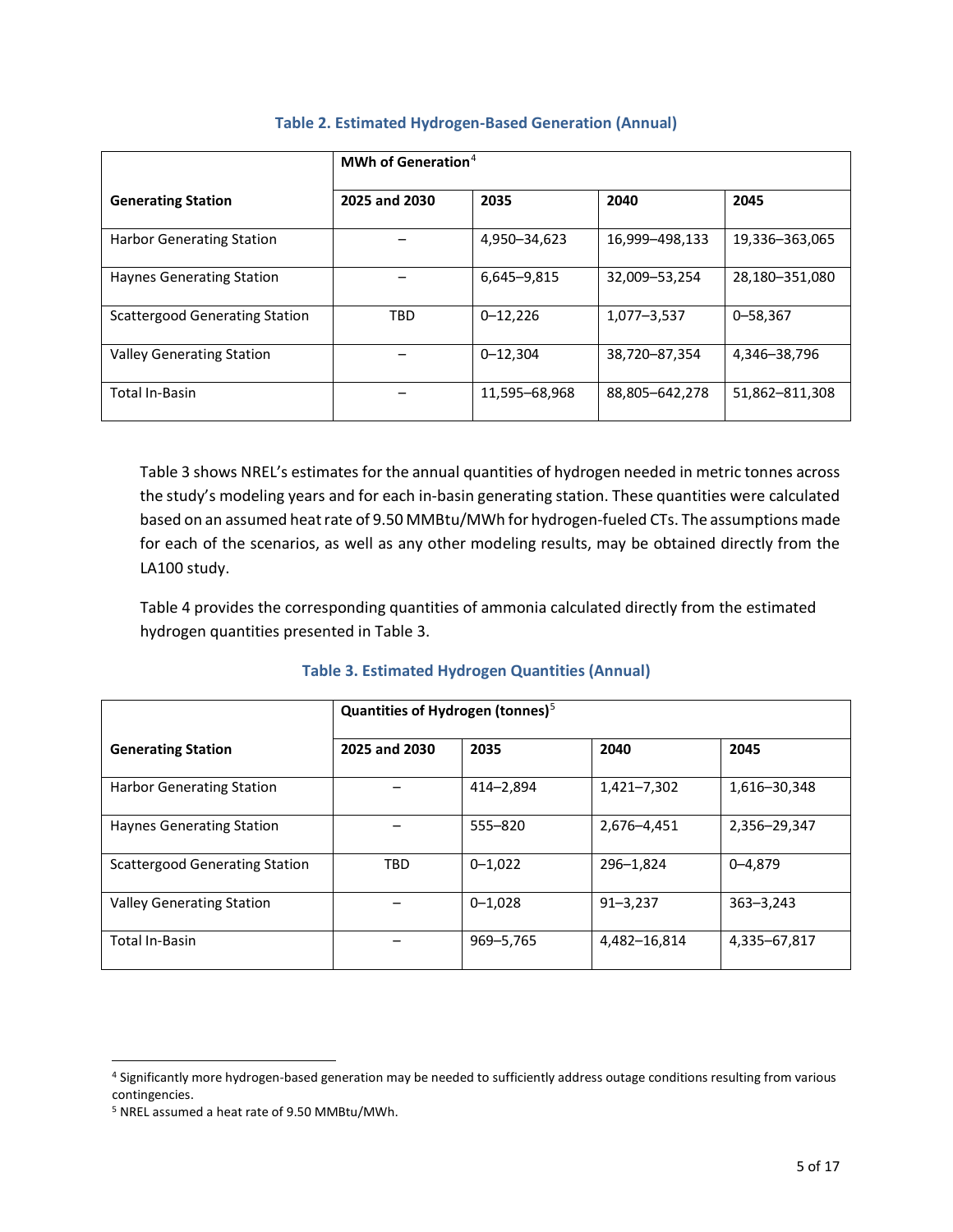|                                       | MWh of Generation <sup>4</sup> |               |                |                |
|---------------------------------------|--------------------------------|---------------|----------------|----------------|
| <b>Generating Station</b>             | 2025 and 2030                  | 2035          | 2040           | 2045           |
| <b>Harbor Generating Station</b>      |                                | 4,950-34,623  | 16,999-498,133 | 19,336-363,065 |
| <b>Haynes Generating Station</b>      |                                | 6,645-9,815   | 32,009-53,254  | 28,180-351,080 |
| <b>Scattergood Generating Station</b> | <b>TBD</b>                     | $0 - 12,226$  | 1,077-3,537    | $0 - 58,367$   |
| <b>Valley Generating Station</b>      |                                | $0 - 12.304$  | 38,720-87,354  | 4,346-38,796   |
| <b>Total In-Basin</b>                 |                                | 11,595-68,968 | 88,805-642,278 | 51,862-811,308 |

#### **Table 2. Estimated Hydrogen-Based Generation (Annual)**

Table 3 shows NREL's estimates for the annual quantities of hydrogen needed in metric tonnes across the study's modeling years and for each in-basin generating station. These quantities were calculated based on an assumed heat rate of 9.50 MMBtu/MWh for hydrogen-fueled CTs. The assumptions made for each of the scenarios, as well as any other modeling results, may be obtained directly from the LA100 study.

Table 4 provides the corresponding quantities of ammonia calculated directly from the estimated hydrogen quantities presented in Table 3.

#### **Table 3. Estimated Hydrogen Quantities (Annual)**

|                                       | Quantities of Hydrogen (tonnes) $5$ |             |              |               |
|---------------------------------------|-------------------------------------|-------------|--------------|---------------|
| <b>Generating Station</b>             | 2025 and 2030                       | 2035        | 2040         | 2045          |
| <b>Harbor Generating Station</b>      |                                     | 414-2.894   | 1,421-7,302  | 1,616-30,348  |
| <b>Haynes Generating Station</b>      |                                     | $555 - 820$ | 2,676-4,451  | 2,356-29,347  |
| <b>Scattergood Generating Station</b> | <b>TBD</b>                          | $0 - 1,022$ | 296-1,824    | $0 - 4,879$   |
| <b>Valley Generating Station</b>      |                                     | $0 - 1,028$ | $91 - 3,237$ | $363 - 3,243$ |
| <b>Total In-Basin</b>                 |                                     | 969-5,765   | 4,482-16,814 | 4,335-67,817  |

<span id="page-5-0"></span> <sup>4</sup> Significantly more hydrogen-based generation may be needed to sufficiently address outage conditions resulting from various contingencies.

<span id="page-5-1"></span><sup>5</sup> NREL assumed a heat rate of 9.50 MMBtu/MWh.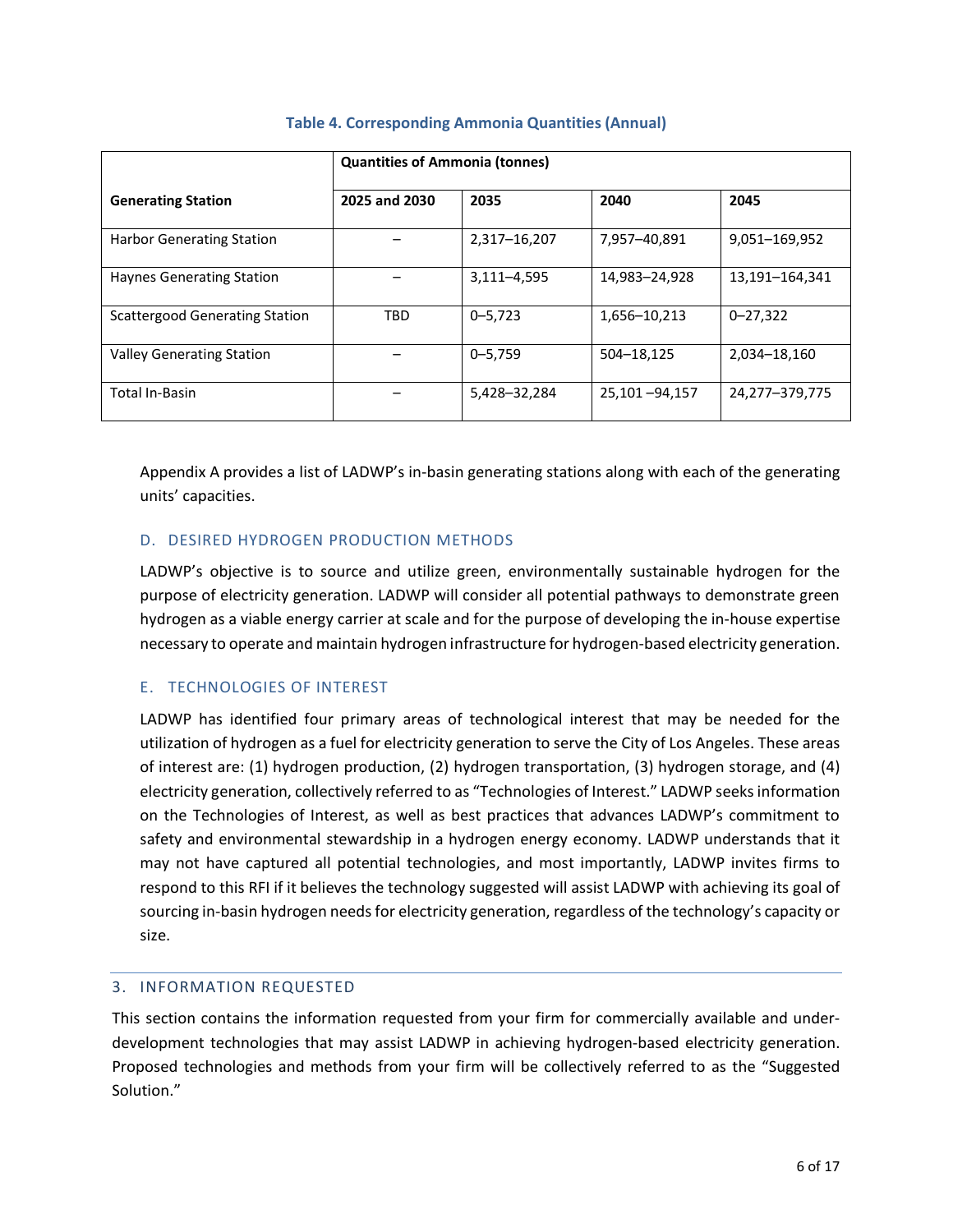|                                       | <b>Quantities of Ammonia (tonnes)</b> |              |               |                |
|---------------------------------------|---------------------------------------|--------------|---------------|----------------|
| <b>Generating Station</b>             | 2025 and 2030                         | 2035         | 2040          | 2045           |
| <b>Harbor Generating Station</b>      |                                       | 2,317-16,207 | 7,957-40,891  | 9,051-169,952  |
| <b>Haynes Generating Station</b>      |                                       | 3,111-4,595  | 14,983-24,928 | 13,191-164,341 |
| <b>Scattergood Generating Station</b> | <b>TBD</b>                            | $0 - 5,723$  | 1,656-10,213  | $0 - 27,322$   |
| <b>Valley Generating Station</b>      |                                       | $0 - 5,759$  | 504-18,125    | 2,034-18,160   |
| Total In-Basin                        |                                       | 5,428-32,284 | 25,101-94,157 | 24,277-379,775 |

#### **Table 4. Corresponding Ammonia Quantities (Annual)**

Appendix A provides a list of LADWP's in-basin generating stations along with each of the generating units' capacities.

#### D. DESIRED HYDROGEN PRODUCTION METHODS

LADWP's objective is to source and utilize green, environmentally sustainable hydrogen for the purpose of electricity generation. LADWP will consider all potential pathways to demonstrate green hydrogen as a viable energy carrier at scale and for the purpose of developing the in-house expertise necessary to operate and maintain hydrogen infrastructure for hydrogen-based electricity generation.

#### E. TECHNOLOGIES OF INTEREST

LADWP has identified four primary areas of technological interest that may be needed for the utilization of hydrogen as a fuel for electricity generation to serve the City of Los Angeles. These areas of interest are: (1) hydrogen production, (2) hydrogen transportation, (3) hydrogen storage, and (4) electricity generation, collectively referred to as "Technologies of Interest." LADWP seeks information on the Technologies of Interest, as well as best practices that advances LADWP's commitment to safety and environmental stewardship in a hydrogen energy economy. LADWP understands that it may not have captured all potential technologies, and most importantly, LADWP invites firms to respond to this RFI if it believes the technology suggested will assist LADWP with achieving its goal of sourcing in-basin hydrogen needs for electricity generation, regardless of the technology's capacity or size.

#### 3. INFORMATION REQUESTED

This section contains the information requested from your firm for commercially available and underdevelopment technologies that may assist LADWP in achieving hydrogen-based electricity generation. Proposed technologies and methods from your firm will be collectively referred to as the "Suggested Solution."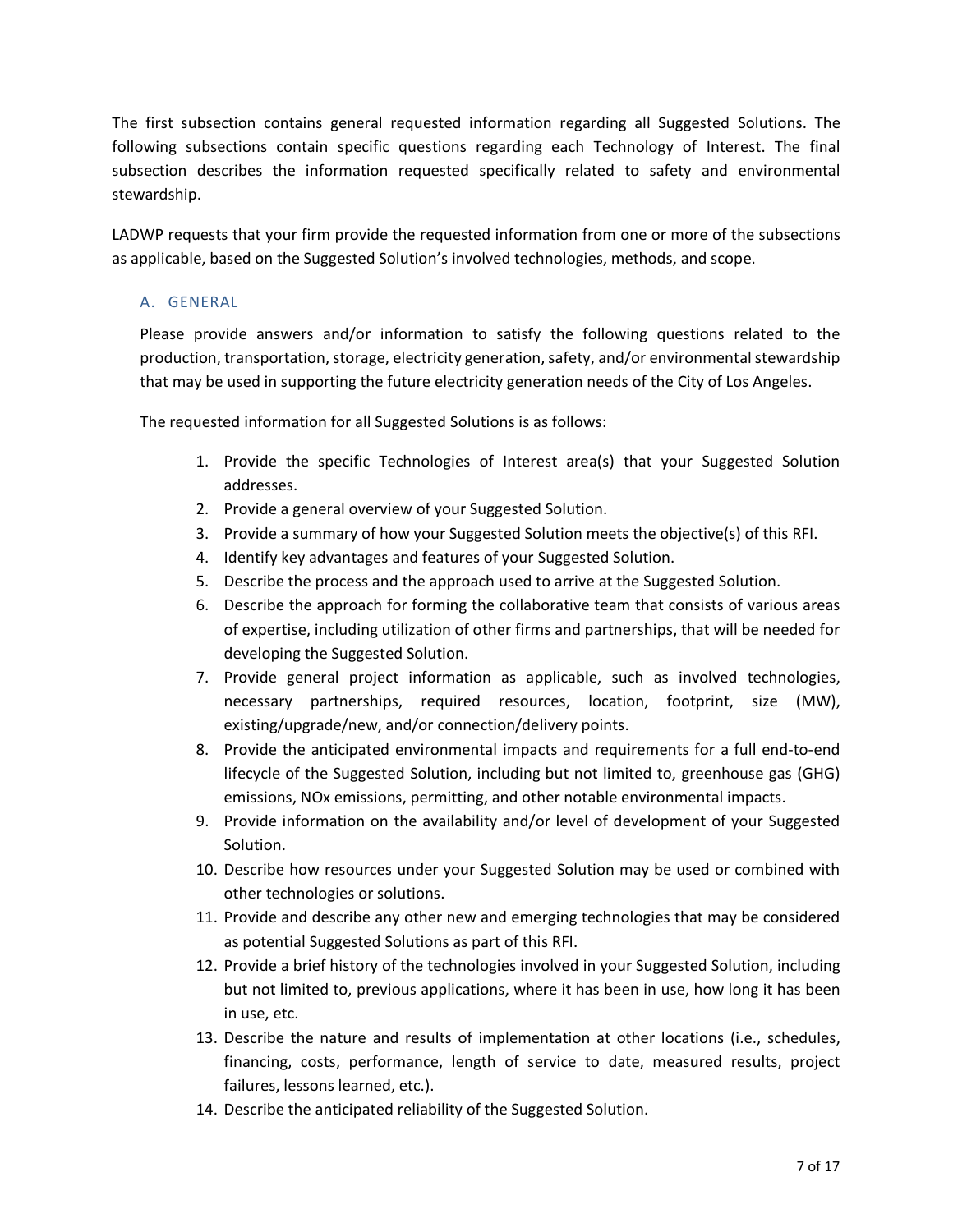The first subsection contains general requested information regarding all Suggested Solutions. The following subsections contain specific questions regarding each Technology of Interest. The final subsection describes the information requested specifically related to safety and environmental stewardship.

LADWP requests that your firm provide the requested information from one or more of the subsections as applicable, based on the Suggested Solution's involved technologies, methods, and scope.

#### A. GENERAL

Please provide answers and/or information to satisfy the following questions related to the production, transportation, storage, electricity generation, safety, and/or environmental stewardship that may be used in supporting the future electricity generation needs of the City of Los Angeles.

The requested information for all Suggested Solutions is as follows:

- 1. Provide the specific Technologies of Interest area(s) that your Suggested Solution addresses.
- 2. Provide a general overview of your Suggested Solution.
- 3. Provide a summary of how your Suggested Solution meets the objective(s) of this RFI.
- 4. Identify key advantages and features of your Suggested Solution.
- 5. Describe the process and the approach used to arrive at the Suggested Solution.
- 6. Describe the approach for forming the collaborative team that consists of various areas of expertise, including utilization of other firms and partnerships, that will be needed for developing the Suggested Solution.
- 7. Provide general project information as applicable, such as involved technologies, necessary partnerships, required resources, location, footprint, size (MW), existing/upgrade/new, and/or connection/delivery points.
- 8. Provide the anticipated environmental impacts and requirements for a full end-to-end lifecycle of the Suggested Solution, including but not limited to, greenhouse gas (GHG) emissions, NOx emissions, permitting, and other notable environmental impacts.
- 9. Provide information on the availability and/or level of development of your Suggested Solution.
- 10. Describe how resources under your Suggested Solution may be used or combined with other technologies or solutions.
- 11. Provide and describe any other new and emerging technologies that may be considered as potential Suggested Solutions as part of this RFI.
- 12. Provide a brief history of the technologies involved in your Suggested Solution, including but not limited to, previous applications, where it has been in use, how long it has been in use, etc.
- 13. Describe the nature and results of implementation at other locations (i.e., schedules, financing, costs, performance, length of service to date, measured results, project failures, lessons learned, etc.).
- 14. Describe the anticipated reliability of the Suggested Solution.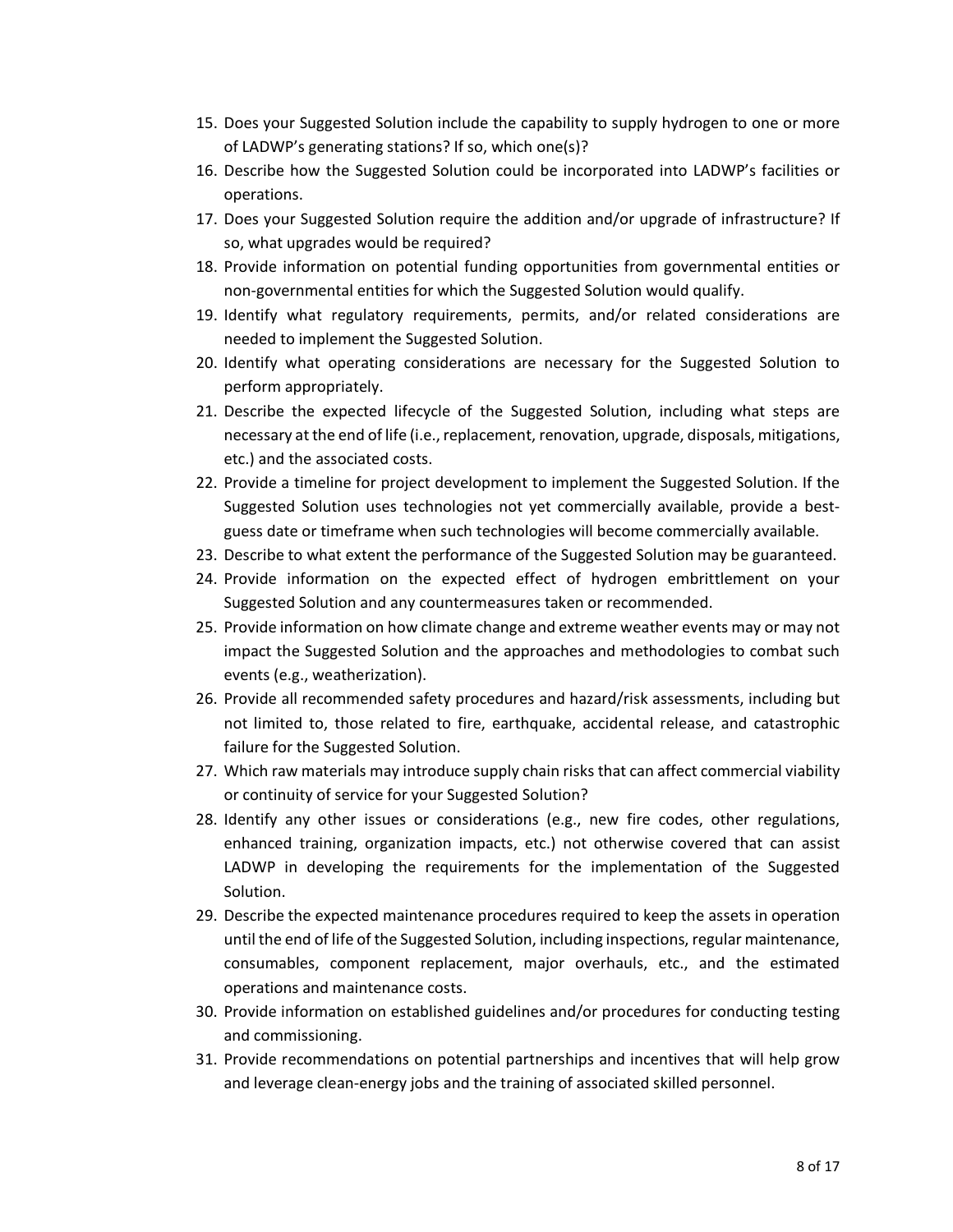- 15. Does your Suggested Solution include the capability to supply hydrogen to one or more of LADWP's generating stations? If so, which one(s)?
- 16. Describe how the Suggested Solution could be incorporated into LADWP's facilities or operations.
- 17. Does your Suggested Solution require the addition and/or upgrade of infrastructure? If so, what upgrades would be required?
- 18. Provide information on potential funding opportunities from governmental entities or non-governmental entities for which the Suggested Solution would qualify.
- 19. Identify what regulatory requirements, permits, and/or related considerations are needed to implement the Suggested Solution.
- 20. Identify what operating considerations are necessary for the Suggested Solution to perform appropriately.
- 21. Describe the expected lifecycle of the Suggested Solution, including what steps are necessary at the end of life (i.e., replacement, renovation, upgrade, disposals, mitigations, etc.) and the associated costs.
- 22. Provide a timeline for project development to implement the Suggested Solution. If the Suggested Solution uses technologies not yet commercially available, provide a bestguess date or timeframe when such technologies will become commercially available.
- 23. Describe to what extent the performance of the Suggested Solution may be guaranteed.
- 24. Provide information on the expected effect of hydrogen embrittlement on your Suggested Solution and any countermeasures taken or recommended.
- 25. Provide information on how climate change and extreme weather events may or may not impact the Suggested Solution and the approaches and methodologies to combat such events (e.g., weatherization).
- 26. Provide all recommended safety procedures and hazard/risk assessments, including but not limited to, those related to fire, earthquake, accidental release, and catastrophic failure for the Suggested Solution.
- 27. Which raw materials may introduce supply chain risks that can affect commercial viability or continuity of service for your Suggested Solution?
- 28. Identify any other issues or considerations (e.g., new fire codes, other regulations, enhanced training, organization impacts, etc.) not otherwise covered that can assist LADWP in developing the requirements for the implementation of the Suggested Solution.
- 29. Describe the expected maintenance procedures required to keep the assets in operation until the end of life of the Suggested Solution, including inspections, regular maintenance, consumables, component replacement, major overhauls, etc., and the estimated operations and maintenance costs.
- 30. Provide information on established guidelines and/or procedures for conducting testing and commissioning.
- 31. Provide recommendations on potential partnerships and incentives that will help grow and leverage clean-energy jobs and the training of associated skilled personnel.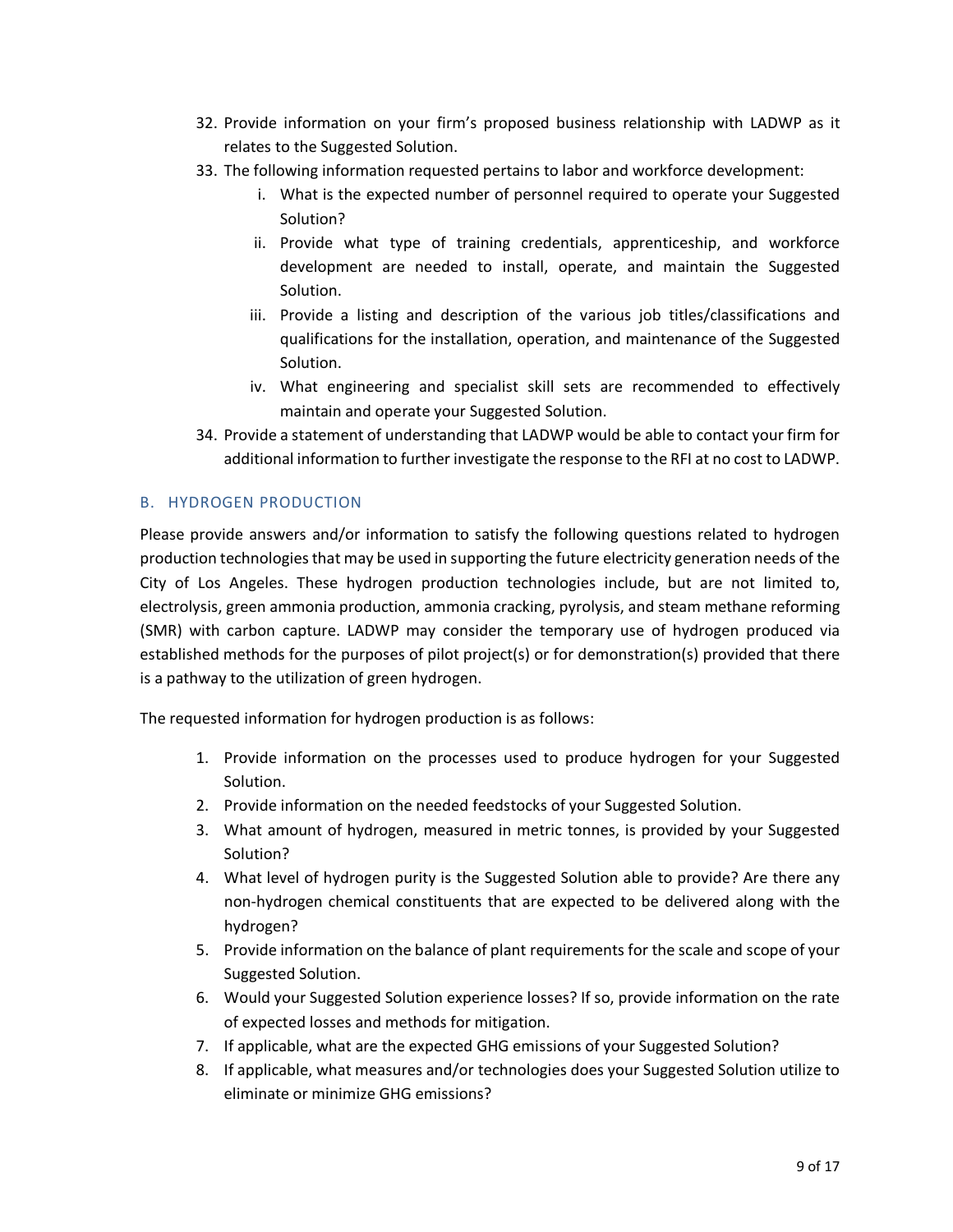- 32. Provide information on your firm's proposed business relationship with LADWP as it relates to the Suggested Solution.
- 33. The following information requested pertains to labor and workforce development:
	- i. What is the expected number of personnel required to operate your Suggested Solution?
	- ii. Provide what type of training credentials, apprenticeship, and workforce development are needed to install, operate, and maintain the Suggested Solution.
	- iii. Provide a listing and description of the various job titles/classifications and qualifications for the installation, operation, and maintenance of the Suggested Solution.
	- iv. What engineering and specialist skill sets are recommended to effectively maintain and operate your Suggested Solution.
- 34. Provide a statement of understanding that LADWP would be able to contact your firm for additional information to further investigate the response to the RFI at no cost to LADWP.

#### B. HYDROGEN PRODUCTION

Please provide answers and/or information to satisfy the following questions related to hydrogen production technologies that may be used in supporting the future electricity generation needs of the City of Los Angeles. These hydrogen production technologies include, but are not limited to, electrolysis, green ammonia production, ammonia cracking, pyrolysis, and steam methane reforming (SMR) with carbon capture. LADWP may consider the temporary use of hydrogen produced via established methods for the purposes of pilot project(s) or for demonstration(s) provided that there is a pathway to the utilization of green hydrogen.

The requested information for hydrogen production is as follows:

- 1. Provide information on the processes used to produce hydrogen for your Suggested Solution.
- 2. Provide information on the needed feedstocks of your Suggested Solution.
- 3. What amount of hydrogen, measured in metric tonnes, is provided by your Suggested Solution?
- 4. What level of hydrogen purity is the Suggested Solution able to provide? Are there any non-hydrogen chemical constituents that are expected to be delivered along with the hydrogen?
- 5. Provide information on the balance of plant requirements for the scale and scope of your Suggested Solution.
- 6. Would your Suggested Solution experience losses? If so, provide information on the rate of expected losses and methods for mitigation.
- 7. If applicable, what are the expected GHG emissions of your Suggested Solution?
- 8. If applicable, what measures and/or technologies does your Suggested Solution utilize to eliminate or minimize GHG emissions?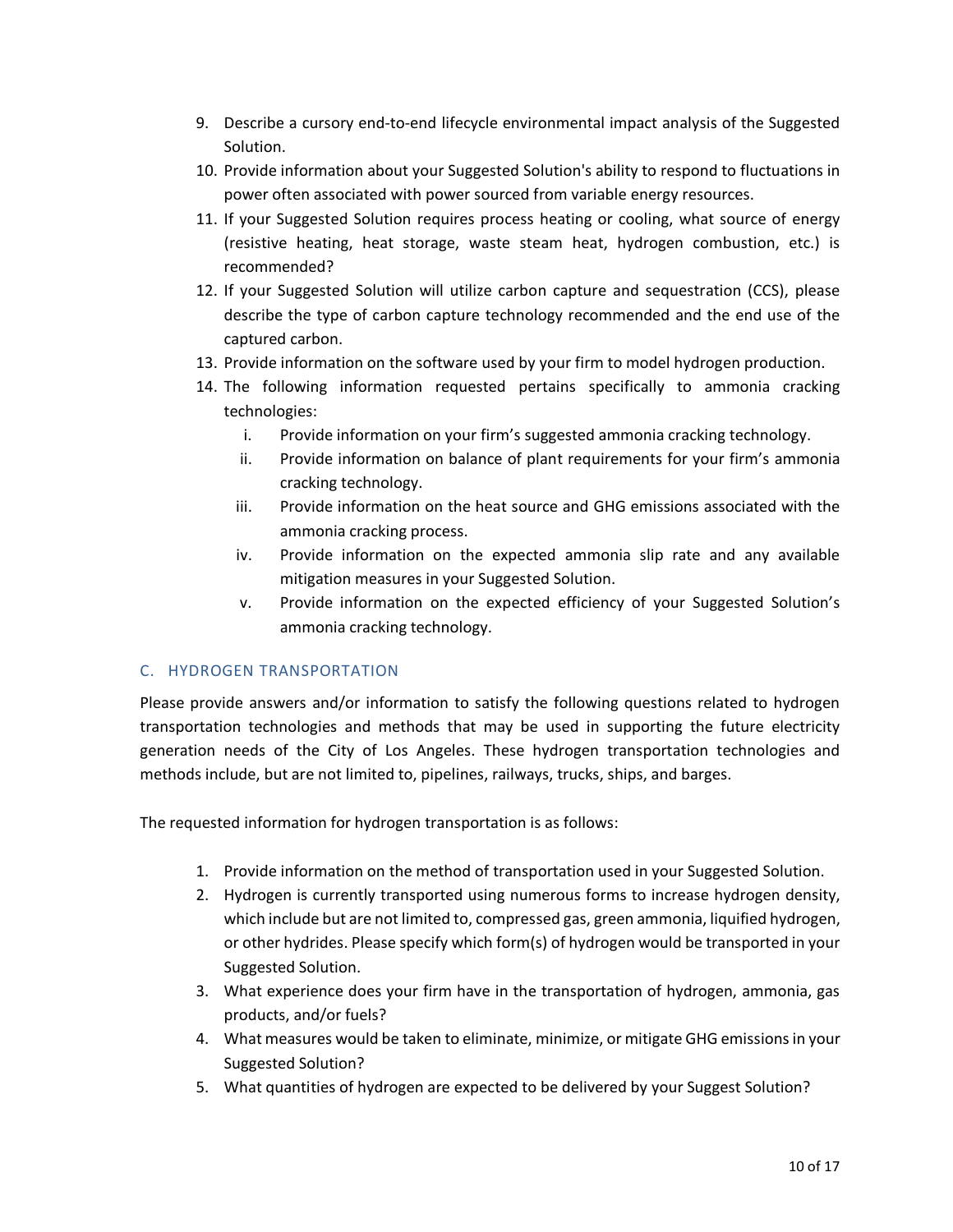- 9. Describe a cursory end-to-end lifecycle environmental impact analysis of the Suggested Solution.
- 10. Provide information about your Suggested Solution's ability to respond to fluctuations in power often associated with power sourced from variable energy resources.
- 11. If your Suggested Solution requires process heating or cooling, what source of energy (resistive heating, heat storage, waste steam heat, hydrogen combustion, etc.) is recommended?
- 12. If your Suggested Solution will utilize carbon capture and sequestration (CCS), please describe the type of carbon capture technology recommended and the end use of the captured carbon.
- 13. Provide information on the software used by your firm to model hydrogen production.
- 14. The following information requested pertains specifically to ammonia cracking technologies:
	- i. Provide information on your firm's suggested ammonia cracking technology.
	- ii. Provide information on balance of plant requirements for your firm's ammonia cracking technology.
	- iii. Provide information on the heat source and GHG emissions associated with the ammonia cracking process.
	- iv. Provide information on the expected ammonia slip rate and any available mitigation measures in your Suggested Solution.
	- v. Provide information on the expected efficiency of your Suggested Solution's ammonia cracking technology.

#### C. HYDROGEN TRANSPORTATION

Please provide answers and/or information to satisfy the following questions related to hydrogen transportation technologies and methods that may be used in supporting the future electricity generation needs of the City of Los Angeles. These hydrogen transportation technologies and methods include, but are not limited to, pipelines, railways, trucks, ships, and barges.

The requested information for hydrogen transportation is as follows:

- 1. Provide information on the method of transportation used in your Suggested Solution.
- 2. Hydrogen is currently transported using numerous forms to increase hydrogen density, which include but are not limited to, compressed gas, green ammonia, liquified hydrogen, or other hydrides. Please specify which form(s) of hydrogen would be transported in your Suggested Solution.
- 3. What experience does your firm have in the transportation of hydrogen, ammonia, gas products, and/or fuels?
- 4. What measures would be taken to eliminate, minimize, or mitigate GHG emissionsin your Suggested Solution?
- 5. What quantities of hydrogen are expected to be delivered by your Suggest Solution?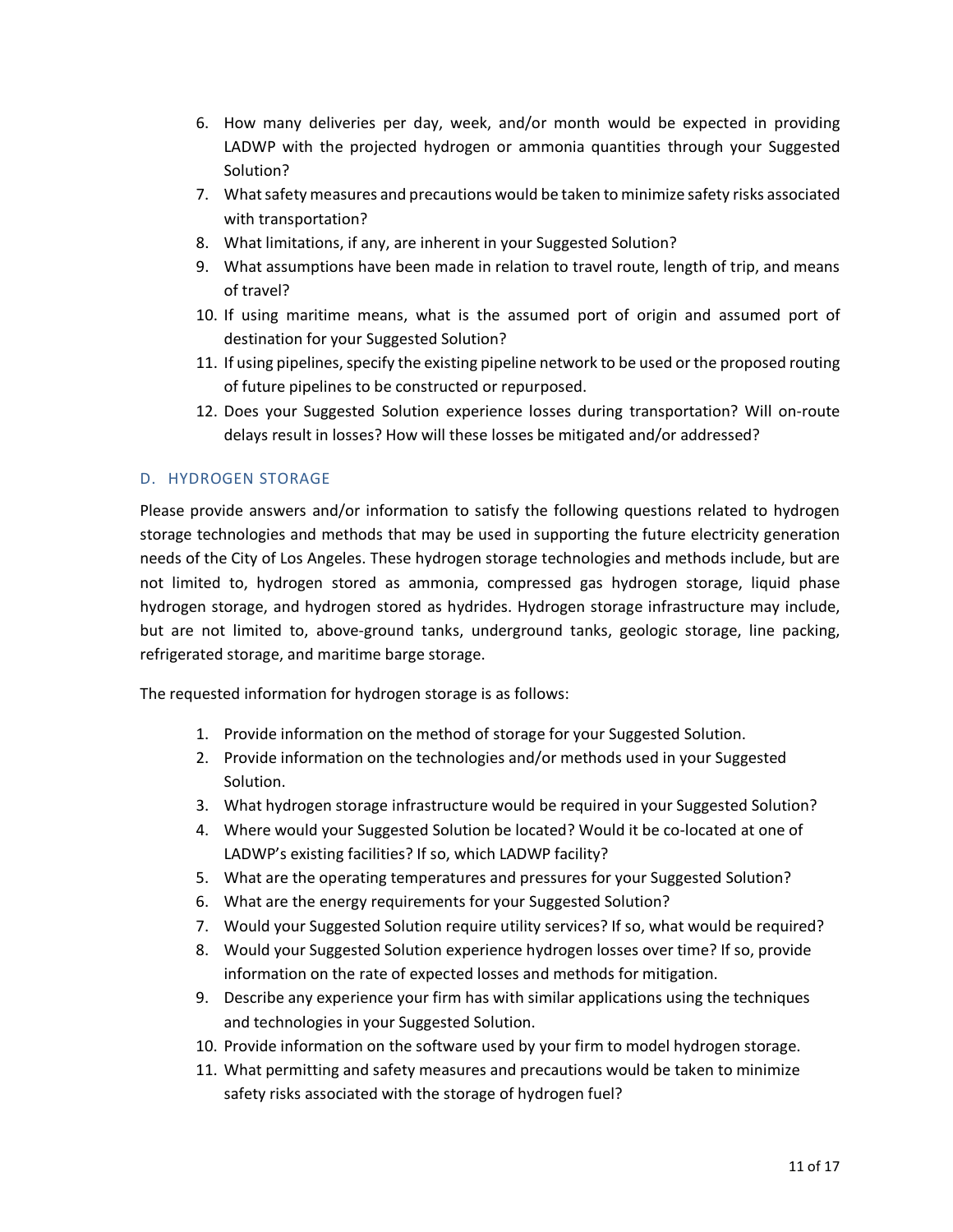- 6. How many deliveries per day, week, and/or month would be expected in providing LADWP with the projected hydrogen or ammonia quantities through your Suggested Solution?
- 7. What safety measures and precautions would be taken to minimize safety risks associated with transportation?
- 8. What limitations, if any, are inherent in your Suggested Solution?
- 9. What assumptions have been made in relation to travel route, length of trip, and means of travel?
- 10. If using maritime means, what is the assumed port of origin and assumed port of destination for your Suggested Solution?
- 11. If using pipelines, specify the existing pipeline network to be used or the proposed routing of future pipelines to be constructed or repurposed.
- 12. Does your Suggested Solution experience losses during transportation? Will on-route delays result in losses? How will these losses be mitigated and/or addressed?

#### D. HYDROGEN STORAGE

Please provide answers and/or information to satisfy the following questions related to hydrogen storage technologies and methods that may be used in supporting the future electricity generation needs of the City of Los Angeles. These hydrogen storage technologies and methods include, but are not limited to, hydrogen stored as ammonia, compressed gas hydrogen storage, liquid phase hydrogen storage, and hydrogen stored as hydrides. Hydrogen storage infrastructure may include, but are not limited to, above-ground tanks, underground tanks, geologic storage, line packing, refrigerated storage, and maritime barge storage.

The requested information for hydrogen storage is as follows:

- 1. Provide information on the method of storage for your Suggested Solution.
- 2. Provide information on the technologies and/or methods used in your Suggested Solution.
- 3. What hydrogen storage infrastructure would be required in your Suggested Solution?
- 4. Where would your Suggested Solution be located? Would it be co-located at one of LADWP's existing facilities? If so, which LADWP facility?
- 5. What are the operating temperatures and pressures for your Suggested Solution?
- 6. What are the energy requirements for your Suggested Solution?
- 7. Would your Suggested Solution require utility services? If so, what would be required?
- 8. Would your Suggested Solution experience hydrogen losses over time? If so, provide information on the rate of expected losses and methods for mitigation.
- 9. Describe any experience your firm has with similar applications using the techniques and technologies in your Suggested Solution.
- 10. Provide information on the software used by your firm to model hydrogen storage.
- 11. What permitting and safety measures and precautions would be taken to minimize safety risks associated with the storage of hydrogen fuel?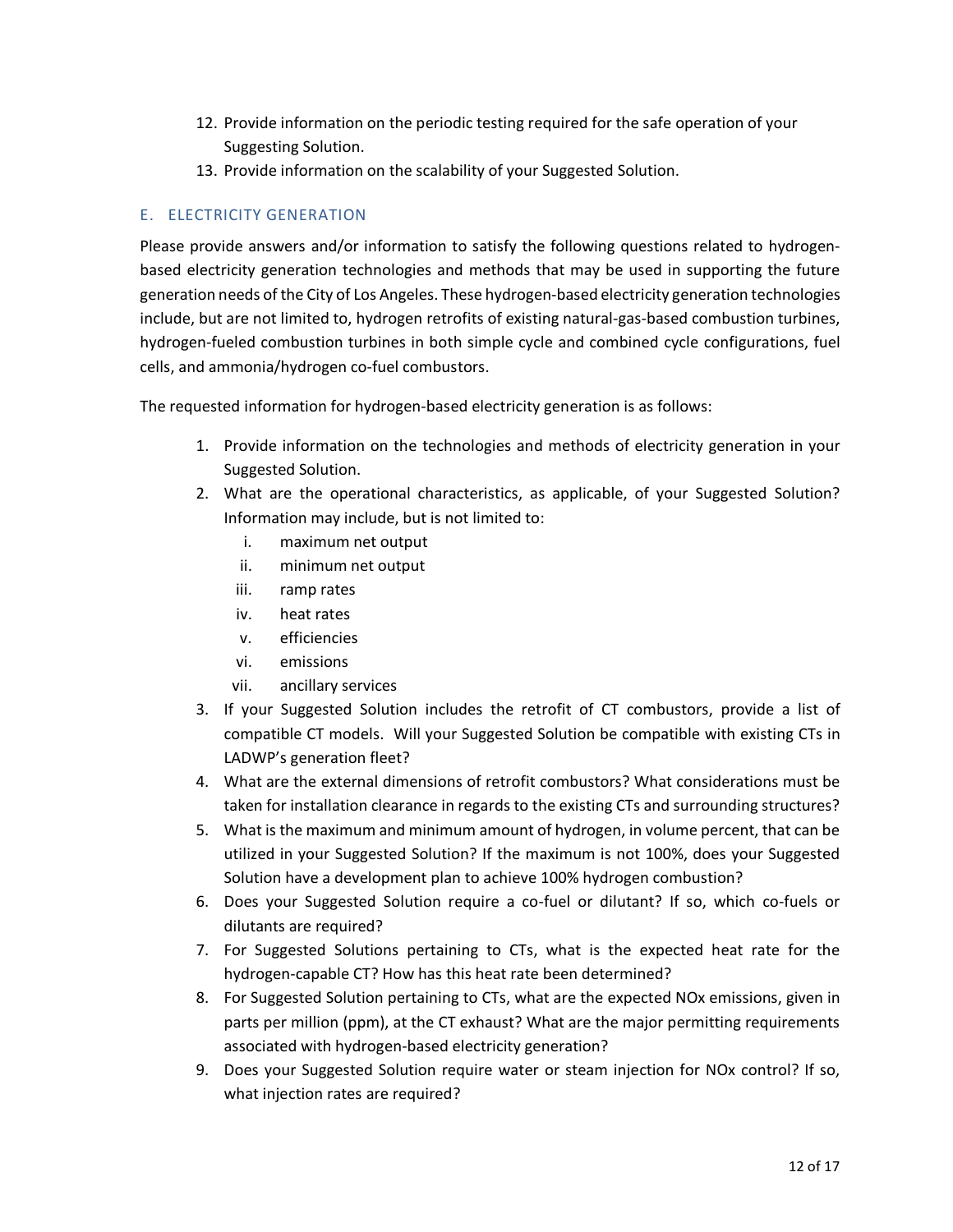- 12. Provide information on the periodic testing required for the safe operation of your Suggesting Solution.
- 13. Provide information on the scalability of your Suggested Solution.

#### E. ELECTRICITY GENERATION

Please provide answers and/or information to satisfy the following questions related to hydrogenbased electricity generation technologies and methods that may be used in supporting the future generation needs of the City of Los Angeles. These hydrogen-based electricity generation technologies include, but are not limited to, hydrogen retrofits of existing natural-gas-based combustion turbines, hydrogen-fueled combustion turbines in both simple cycle and combined cycle configurations, fuel cells, and ammonia/hydrogen co-fuel combustors.

The requested information for hydrogen-based electricity generation is as follows:

- 1. Provide information on the technologies and methods of electricity generation in your Suggested Solution.
- 2. What are the operational characteristics, as applicable, of your Suggested Solution? Information may include, but is not limited to:
	- i. maximum net output
	- ii. minimum net output
	- iii. ramp rates
	- iv. heat rates
	- v. efficiencies
	- vi. emissions
	- vii. ancillary services
- 3. If your Suggested Solution includes the retrofit of CT combustors, provide a list of compatible CT models. Will your Suggested Solution be compatible with existing CTs in LADWP's generation fleet?
- 4. What are the external dimensions of retrofit combustors? What considerations must be taken for installation clearance in regards to the existing CTs and surrounding structures?
- 5. What is the maximum and minimum amount of hydrogen, in volume percent, that can be utilized in your Suggested Solution? If the maximum is not 100%, does your Suggested Solution have a development plan to achieve 100% hydrogen combustion?
- 6. Does your Suggested Solution require a co-fuel or dilutant? If so, which co-fuels or dilutants are required?
- 7. For Suggested Solutions pertaining to CTs, what is the expected heat rate for the hydrogen-capable CT? How has this heat rate been determined?
- 8. For Suggested Solution pertaining to CTs, what are the expected NOx emissions, given in parts per million (ppm), at the CT exhaust? What are the major permitting requirements associated with hydrogen-based electricity generation?
- 9. Does your Suggested Solution require water or steam injection for NOx control? If so, what injection rates are required?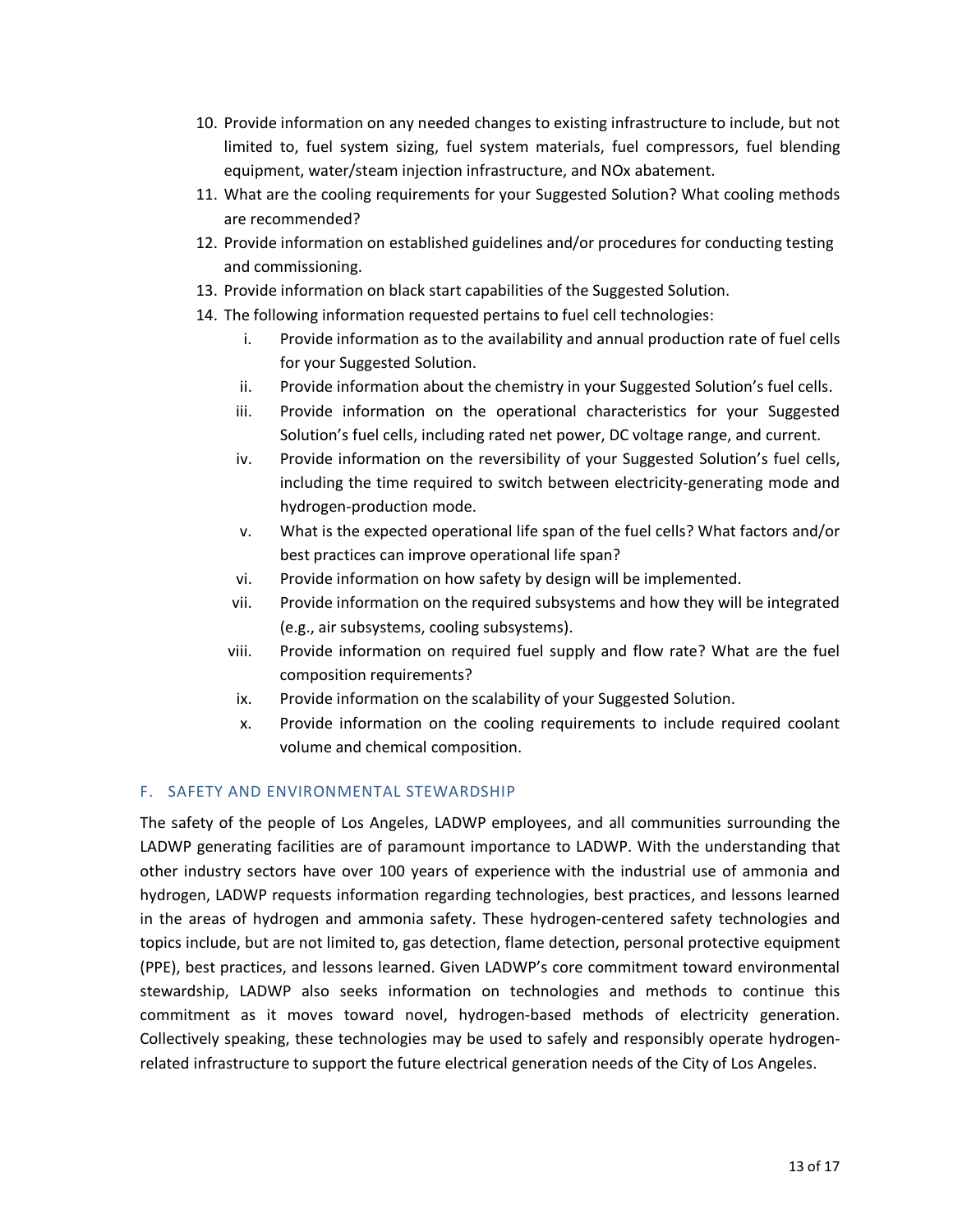- 10. Provide information on any needed changes to existing infrastructure to include, but not limited to, fuel system sizing, fuel system materials, fuel compressors, fuel blending equipment, water/steam injection infrastructure, and NOx abatement.
- 11. What are the cooling requirements for your Suggested Solution? What cooling methods are recommended?
- 12. Provide information on established guidelines and/or procedures for conducting testing and commissioning.
- 13. Provide information on black start capabilities of the Suggested Solution.
- 14. The following information requested pertains to fuel cell technologies:
	- i. Provide information as to the availability and annual production rate of fuel cells for your Suggested Solution.
	- ii. Provide information about the chemistry in your Suggested Solution's fuel cells.
	- iii. Provide information on the operational characteristics for your Suggested Solution's fuel cells, including rated net power, DC voltage range, and current.
	- iv. Provide information on the reversibility of your Suggested Solution's fuel cells, including the time required to switch between electricity-generating mode and hydrogen-production mode.
	- v. What is the expected operational life span of the fuel cells? What factors and/or best practices can improve operational life span?
	- vi. Provide information on how safety by design will be implemented.
	- vii. Provide information on the required subsystems and how they will be integrated (e.g., air subsystems, cooling subsystems).
	- viii. Provide information on required fuel supply and flow rate? What are the fuel composition requirements?
	- ix. Provide information on the scalability of your Suggested Solution.
	- x. Provide information on the cooling requirements to include required coolant volume and chemical composition.

#### F. SAFETY AND ENVIRONMENTAL STEWARDSHIP

The safety of the people of Los Angeles, LADWP employees, and all communities surrounding the LADWP generating facilities are of paramount importance to LADWP. With the understanding that other industry sectors have over 100 years of experience with the industrial use of ammonia and hydrogen, LADWP requests information regarding technologies, best practices, and lessons learned in the areas of hydrogen and ammonia safety. These hydrogen-centered safety technologies and topics include, but are not limited to, gas detection, flame detection, personal protective equipment (PPE), best practices, and lessons learned. Given LADWP's core commitment toward environmental stewardship, LADWP also seeks information on technologies and methods to continue this commitment as it moves toward novel, hydrogen-based methods of electricity generation. Collectively speaking, these technologies may be used to safely and responsibly operate hydrogenrelated infrastructure to support the future electrical generation needs of the City of Los Angeles.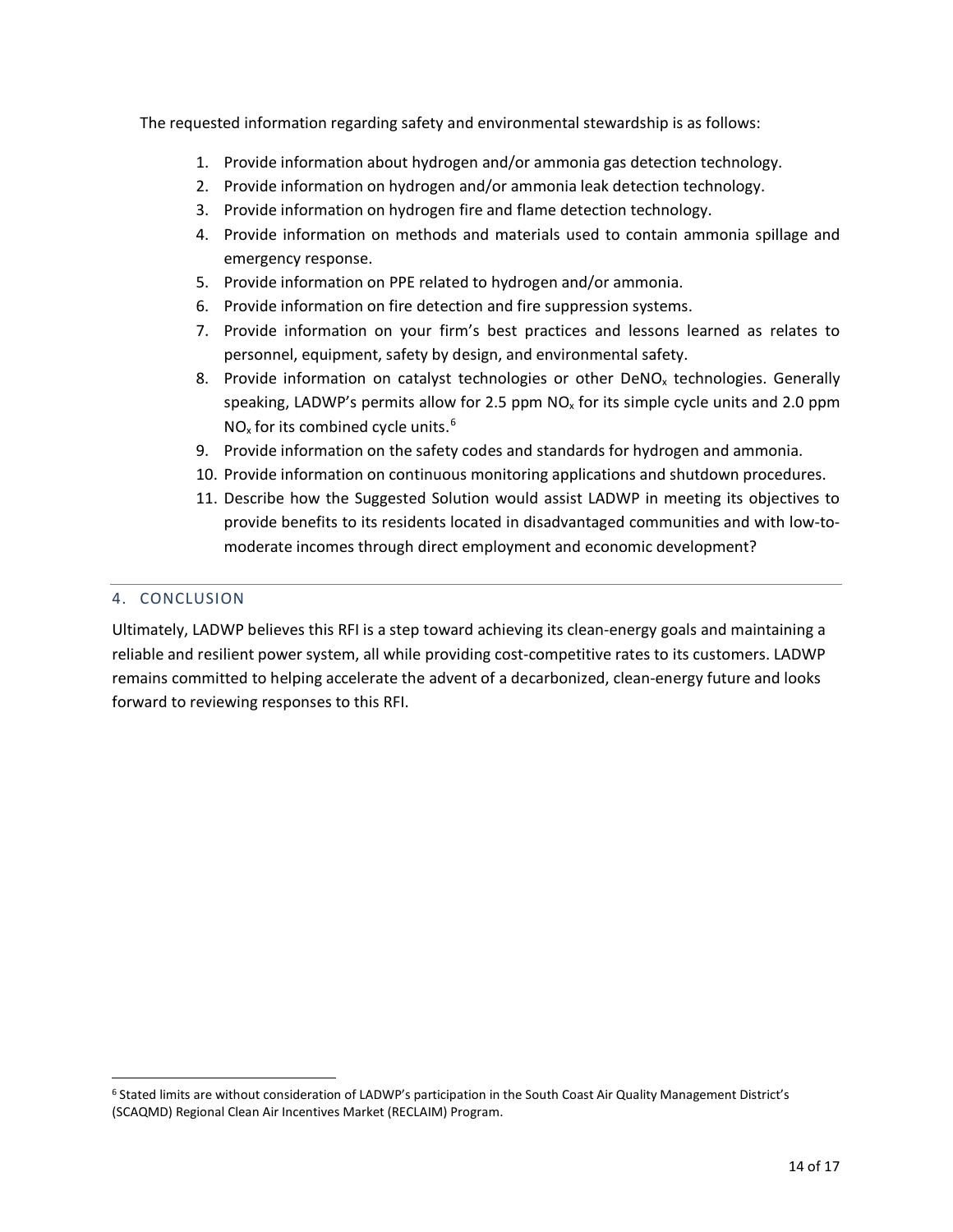The requested information regarding safety and environmental stewardship is as follows:

- 1. Provide information about hydrogen and/or ammonia gas detection technology.
- 2. Provide information on hydrogen and/or ammonia leak detection technology.
- 3. Provide information on hydrogen fire and flame detection technology.
- 4. Provide information on methods and materials used to contain ammonia spillage and emergency response.
- 5. Provide information on PPE related to hydrogen and/or ammonia.
- 6. Provide information on fire detection and fire suppression systems.
- 7. Provide information on your firm's best practices and lessons learned as relates to personnel, equipment, safety by design, and environmental safety.
- 8. Provide information on catalyst technologies or other DeNO<sub>x</sub> technologies. Generally speaking, LADWP's permits allow for 2.5 ppm  $NO<sub>x</sub>$  for its simple cycle units and 2.0 ppm  $NO<sub>x</sub>$  for its combined cycle units.<sup>[6](#page-14-0)</sup>
- 9. Provide information on the safety codes and standards for hydrogen and ammonia.
- 10. Provide information on continuous monitoring applications and shutdown procedures.
- 11. Describe how the Suggested Solution would assist LADWP in meeting its objectives to provide benefits to its residents located in disadvantaged communities and with low-tomoderate incomes through direct employment and economic development?

#### 4. CONCLUSION

Ultimately, LADWP believes this RFI is a step toward achieving its clean-energy goals and maintaining a reliable and resilient power system, all while providing cost-competitive rates to its customers. LADWP remains committed to helping accelerate the advent of a decarbonized, clean-energy future and looks forward to reviewing responses to this RFI.

<span id="page-14-0"></span> <sup>6</sup> Stated limits are without consideration of LADWP's participation in the South Coast Air Quality Management District's (SCAQMD) Regional Clean Air Incentives Market (RECLAIM) Program.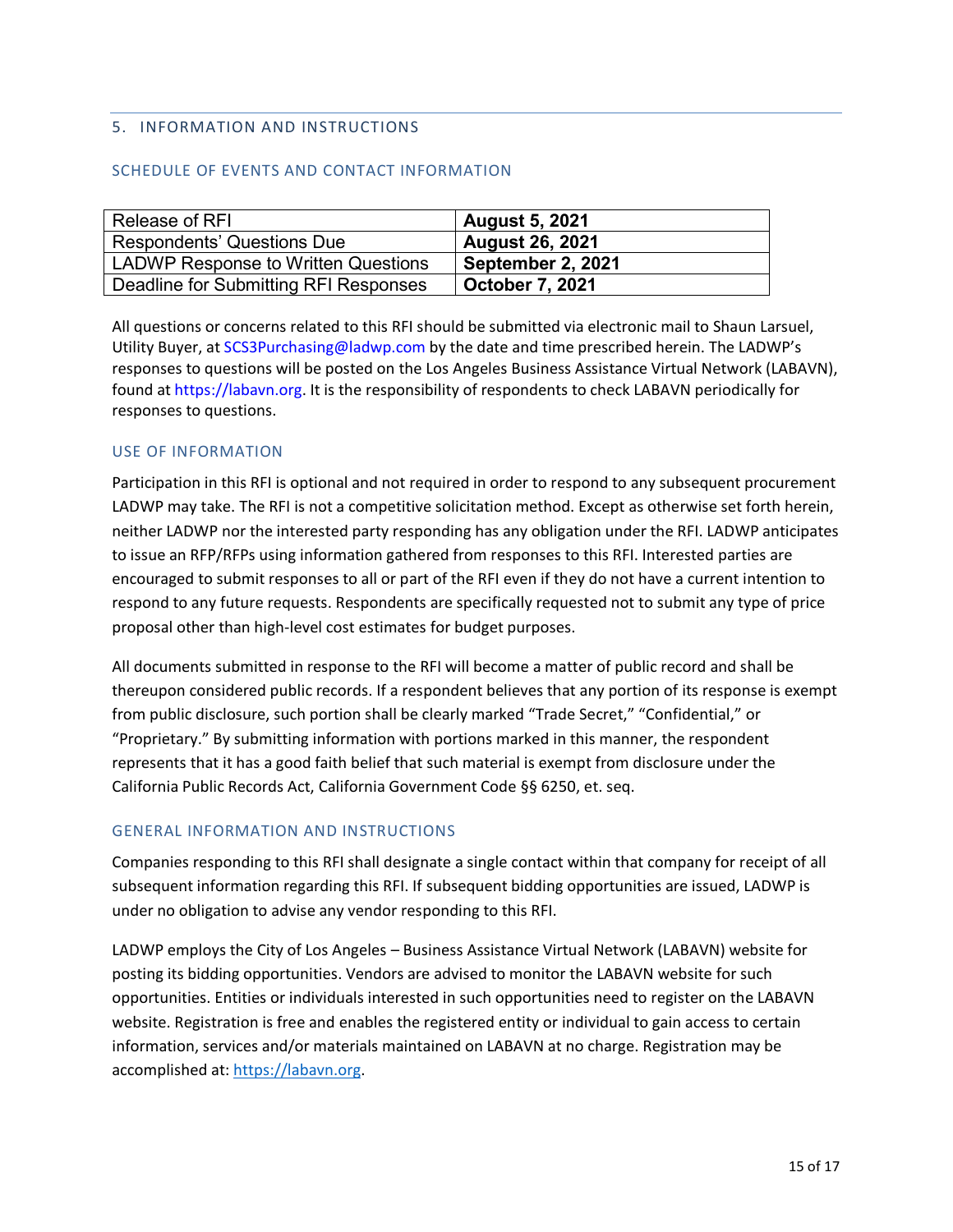#### 5. INFORMATION AND INSTRUCTIONS

#### SCHEDULE OF EVENTS AND CONTACT INFORMATION

| Release of RFI                             | <b>August 5, 2021</b>  |
|--------------------------------------------|------------------------|
| Respondents' Questions Due                 | <b>August 26, 2021</b> |
| <b>LADWP Response to Written Questions</b> | September 2, 2021      |
| Deadline for Submitting RFI Responses      | October 7, 2021        |

All questions or concerns related to this RFI should be submitted via electronic mail to Shaun Larsuel, Utility Buyer, at SCS3Purchasing@ladwp.com by the date and time prescribed herein. The LADWP's responses to questions will be posted on the Los Angeles Business Assistance Virtual Network (LABAVN), found at https://labavn.org. It is the responsibility of respondents to check LABAVN periodically for responses to questions.

#### USE OF INFORMATION

Participation in this RFI is optional and not required in order to respond to any subsequent procurement LADWP may take. The RFI is not a competitive solicitation method. Except as otherwise set forth herein, neither LADWP nor the interested party responding has any obligation under the RFI. LADWP anticipates to issue an RFP/RFPs using information gathered from responses to this RFI. Interested parties are encouraged to submit responses to all or part of the RFI even if they do not have a current intention to respond to any future requests. Respondents are specifically requested not to submit any type of price proposal other than high-level cost estimates for budget purposes.

All documents submitted in response to the RFI will become a matter of public record and shall be thereupon considered public records. If a respondent believes that any portion of its response is exempt from public disclosure, such portion shall be clearly marked "Trade Secret," "Confidential," or "Proprietary." By submitting information with portions marked in this manner, the respondent represents that it has a good faith belief that such material is exempt from disclosure under the California Public Records Act, California Government Code §§ 6250, et. seq.

#### GENERAL INFORMATION AND INSTRUCTIONS

Companies responding to this RFI shall designate a single contact within that company for receipt of all subsequent information regarding this RFI. If subsequent bidding opportunities are issued, LADWP is under no obligation to advise any vendor responding to this RFI.

LADWP employs the City of Los Angeles – Business Assistance Virtual Network (LABAVN) website for posting its bidding opportunities. Vendors are advised to monitor the LABAVN website for such opportunities. Entities or individuals interested in such opportunities need to register on the LABAVN website. Registration is free and enables the registered entity or individual to gain access to certain information, services and/or materials maintained on LABAVN at no charge. Registration may be accomplished at: [https://labavn.org.](https://labavn.org/)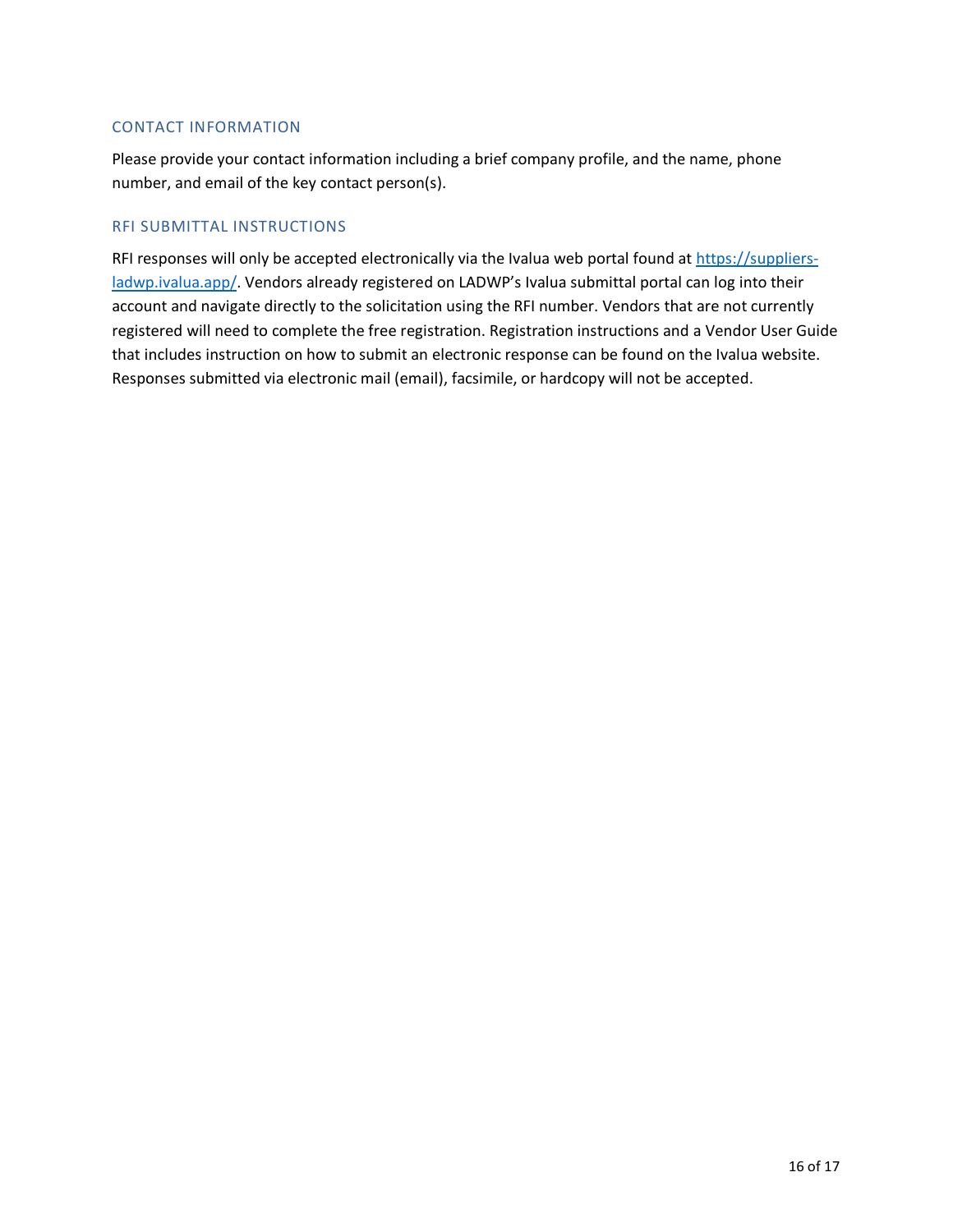#### CONTACT INFORMATION

Please provide your contact information including a brief company profile, and the name, phone number, and email of the key contact person(s).

#### RFI SUBMITTAL INSTRUCTIONS

RFI responses will only be accepted electronically via the Ivalua web portal found at [https://suppliers](https://suppliers-ladwp.ivalua.app/)[ladwp.ivalua.app/.](https://suppliers-ladwp.ivalua.app/) Vendors already registered on LADWP's Ivalua submittal portal can log into their account and navigate directly to the solicitation using the RFI number. Vendors that are not currently registered will need to complete the free registration. Registration instructions and a Vendor User Guide that includes instruction on how to submit an electronic response can be found on the Ivalua website. Responses submitted via electronic mail (email), facsimile, or hardcopy will not be accepted.